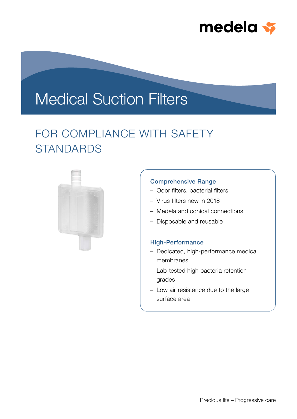

# Medical Suction Filters

## FOR COMPLIANCE WITH SAFETY **STANDARDS**



### Comprehensive Range

- Odor filters, bacterial filters
- Virus filters new in 2018
- Medela and conical connections
- Disposable and reusable

#### High-Performance

- Dedicated, high-performance medical membranes
- Lab-tested high bacteria retention grades
- Low air resistance due to the large surface area